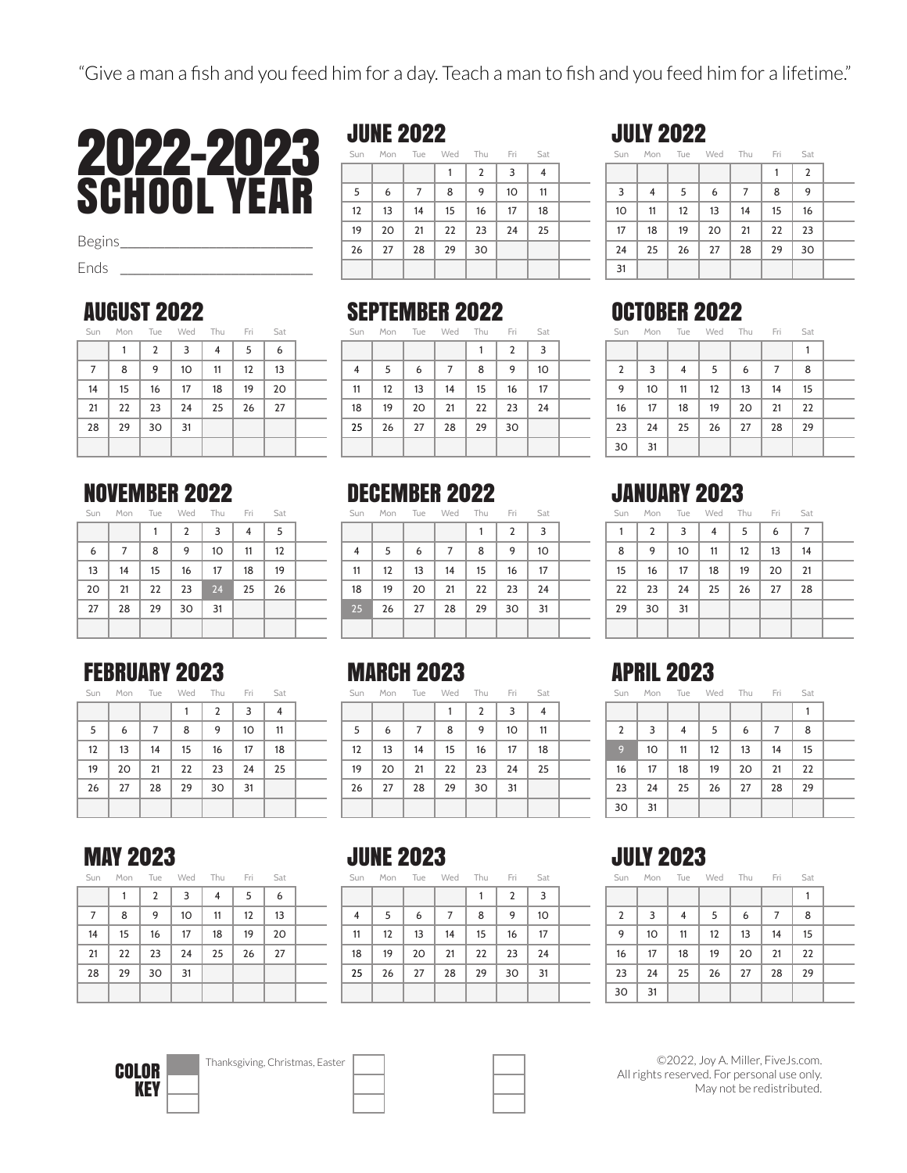

Begins*\_\_\_\_\_\_\_\_\_\_\_\_\_\_\_\_\_\_\_\_\_\_\_\_\_\_*

Ends *\_\_\_\_\_\_\_\_\_\_\_\_\_\_\_\_\_\_\_\_\_\_\_\_\_\_*

#### AUGUST 2022

| Sun |    |                | Mon Tue Wed Thu Fri |    |    | Sat |  |
|-----|----|----------------|---------------------|----|----|-----|--|
|     | 1  | $\overline{2}$ | 3                   | 4  | 5  | 6   |  |
| 7   | 8  | 9              | 10                  | 11 | 12 | 13  |  |
| 14  | 15 | 16             | 17                  | 18 | 19 | 20  |  |
| 21  | 22 | 23             | 24                  | 25 | 26 | 27  |  |
| 28  | 29 | 30             | 31                  |    |    |     |  |
|     |    |                |                     |    |    |     |  |

## NOVEMBER 2022

Mon Tue Wed Thu Fri Sat

|    |    |    | $\overline{2}$ | 3  | 4  | 5  |  |
|----|----|----|----------------|----|----|----|--|
| 6  | 7  | 8  | 9              | 10 | 11 | 12 |  |
| 13 | 14 | 15 | 16             | 17 | 18 | 19 |  |
| 20 | 21 | 22 | 23             | 24 | 25 | 26 |  |
| 27 | 28 | 29 | 30             | 31 |    |    |  |
|    |    |    |                |    |    |    |  |

#### FEBRUARY 2023

| Sat | Fri | Thu            | Wed | Tue | Mon | Sun |
|-----|-----|----------------|-----|-----|-----|-----|
| 4   | 3   | $\overline{2}$ |     |     |     |     |
| 11  | 10  | 9              | 8   | 7   | 6   | 5   |
| 18  | 17  | 16             | 15  | 14  | 13  | 12  |
| 25  | 24  | 23             | 22  | 21  | 20  | 19  |
|     | 31  | 30             | 29  | 28  | 27  | 26  |
|     |     |                |     |     |     |     |

## JUNE 2022

| Sun               |    |                | Mon Tue Wed Thu Fri |    |                 | Sat |  |
|-------------------|----|----------------|---------------------|----|-----------------|-----|--|
|                   |    |                | 1                   | 2  | 3               | 4   |  |
| 5                 | 6  | $\overline{7}$ | 8                   | 9  | 10 <sup>2</sup> | 11  |  |
| $12 \overline{ }$ | 13 | 14             | 15                  | 16 | 17              | 18  |  |
| 19                | 20 | 21             | 22                  | 23 | 24              | 25  |  |
| 26                | 27 | 28             | 29                  | 30 |                 |     |  |
|                   |    |                |                     |    |                 |     |  |

#### SEPTEMBER 2022

| Sun |    |    | Mon Tue Wed Thu Fri |    |                | Sat             |  |
|-----|----|----|---------------------|----|----------------|-----------------|--|
|     |    |    |                     |    | $\overline{2}$ | 3               |  |
| 4   | 5  | 6  | 7                   | 8  | 9              | 10 <sup>2</sup> |  |
| 11  | 12 | 13 | 14                  | 15 | 16             | 17              |  |
| 18  | 19 | 20 | 21                  | 22 | 23             | 24              |  |
| 25  | 26 | 27 | 28                  | 29 | 30             |                 |  |
|     |    |    |                     |    |                |                 |  |

### DECEMBER 2022

Sun Mon Tue Wed Thu Fri Sat

|    |    |    |    |    | 2  | 3  |  |
|----|----|----|----|----|----|----|--|
| 4  | 5  | 6  |    | 8  | 9  | 10 |  |
| 11 | 12 | 13 | 14 | 15 | 16 | 17 |  |
| 18 | 19 | 20 | 21 | 22 | 23 | 24 |  |
| 25 | 26 | 27 | 28 | 29 | 30 | 31 |  |
|    |    |    |    |    |    |    |  |

## MARCH 2023

| Sun | Mon | Tue | Wed | Thu            | Fri | Sat |  |
|-----|-----|-----|-----|----------------|-----|-----|--|
|     |     |     |     | $\overline{2}$ | 3   | 4   |  |
| 5   | 6   | 7   | 8   | 9              | 10  | 11  |  |
| 12  | 13  | 14  | 15  | 16             | 17  | 18  |  |
| 19  | 20  | 21  | 22  | 23             | 24  | 25  |  |
| 26  | 27  | 28  | 29  | 30             | 31  |     |  |
|     |     |     |     |                |     |     |  |

JULY 2022

|    |    |    |    |    | $\overline{2}$ |  |
|----|----|----|----|----|----------------|--|
| 4  | 5  | 6  | 7  | 8  | 9              |  |
| 11 | 12 | 13 | 14 | 15 | 16             |  |
| 18 | 19 | 20 | 21 | 22 | 23             |  |
| 25 | 26 | 27 | 28 | 29 | 30             |  |
|    |    |    |    |    |                |  |
|    |    |    |    |    |                |  |

Sun Mon Tue Wed Thu Fri Sat

## OCTOBER 2022

| Sun            |    |    | Mon Tue Wed Thu Fri |    |    | Sat |  |
|----------------|----|----|---------------------|----|----|-----|--|
|                |    |    |                     |    |    | 1   |  |
| $\overline{2}$ | 3  | 4  | 5                   | 6  | 7  | 8   |  |
| 9              | 10 | 11 | 12                  | 13 | 14 | 15  |  |
| 16             | 17 | 18 | 19                  | 20 | 21 | 22  |  |
| 23             | 24 | 25 | 26                  | 27 | 28 | 29  |  |
| 30             | 31 |    |                     |    |    |     |  |

## JANUARY 2023

| Sun | Mon Tue Wed Thu Fri |                |    |    |    | Sat |  |
|-----|---------------------|----------------|----|----|----|-----|--|
| 1   | 2                   | $\overline{3}$ | 4  | 5  | 6  | 7   |  |
| 8   | 9                   | 10             | 11 | 12 | 13 | 14  |  |
| 15  | 16                  | 17             | 18 | 19 | 20 | 21  |  |
| 22  | 23                  | 24             | 25 | 26 | 27 | 28  |  |
| 29  | 30                  | 31             |    |    |    |     |  |
|     |                     |                |    |    |    |     |  |

## APRIL 2023

| Sun            | Mon | Tue | Wed | Thu | Fri | Sat |  |
|----------------|-----|-----|-----|-----|-----|-----|--|
|                |     |     |     |     |     |     |  |
| $\overline{2}$ | 3   | 4   | 5   | 6   | 7   | 8   |  |
| 9              | 10  | 11  | 12  | 13  | 14  | 15  |  |
| 16             | 17  | 18  | 19  | 20  | 21  | 22  |  |
| 23             | 24  | 25  | 26  | 27  | 28  | 29  |  |
| 30             | 31  |     |     |     |     |     |  |

#### MAY 2023

| Sun |    |    | Mon Tue Wed Thu |    | Fri | Sat |  |
|-----|----|----|-----------------|----|-----|-----|--|
|     | 1  | 2  | 3               | 4  | 5   | 6   |  |
| 7   | 8  | 9  | 10              | 11 | 12  | 13  |  |
| 14  | 15 | 16 | 17              | 18 | 19  | 20  |  |
| 21  | 22 | 23 | 24              | 25 | 26  | 27  |  |
| 28  | 29 | 30 | 31              |    |     |     |  |
|     |    |    |                 |    |     |     |  |

#### JUNE 2023

| Sun |    |    | Mon Tue Wed Thu |    | Fri            | Sat             |  |
|-----|----|----|-----------------|----|----------------|-----------------|--|
|     |    |    |                 | 1  | $\overline{2}$ | 3               |  |
| 4   | 5  | 6  | 7               | 8  | 9              | 10 <sup>2</sup> |  |
| 11  | 12 | 13 | 14              | 15 | 16             | 17              |  |
| 18  | 19 | 20 | 21              | 22 | 23             | 24              |  |
| 25  | 26 | 27 | 28              | 29 | 30             | 31              |  |
|     |    |    |                 |    |                |                 |  |

## JULY 2023

| Sun            |    |    | Mon Tue Wed Thu Fri |    |    | Sat |  |
|----------------|----|----|---------------------|----|----|-----|--|
|                |    |    |                     |    |    | 1   |  |
| $\overline{2}$ | 3  | 4  | 5                   | 6  | 7  | 8   |  |
| 9              | 10 | 11 | 12                  | 13 | 14 | 15  |  |
| 16             | 17 | 18 | 19                  | 20 | 21 | 22  |  |
| 23             | 24 | 25 | 26                  | 27 | 28 | 29  |  |
| 30             | 31 |    |                     |    |    |     |  |

©2022, Joy A. Miller, FiveJs.com. All rights reserved. For personal use only. May not be redistributed.



COLOR **Thanksgiving, Christmas, Easter** 

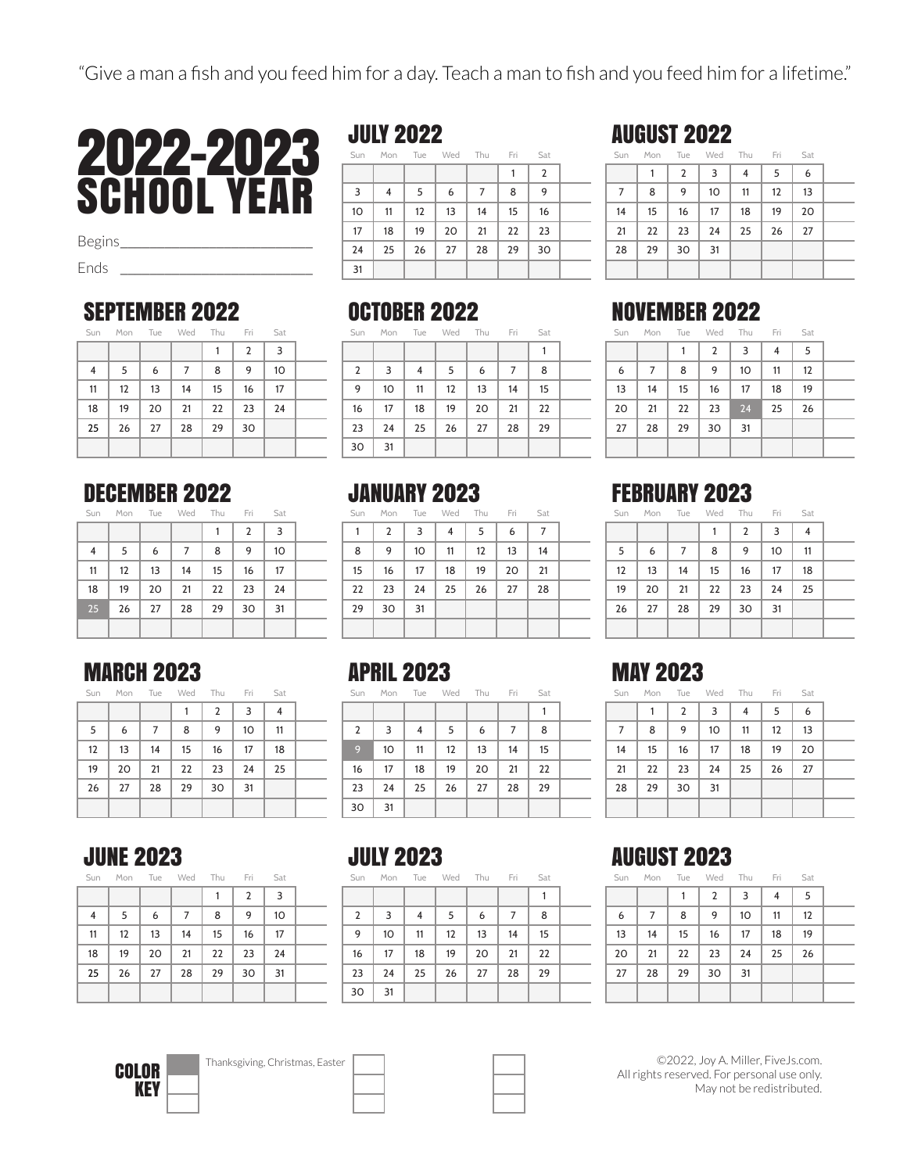

Begins*\_\_\_\_\_\_\_\_\_\_\_\_\_\_\_\_\_\_\_\_\_\_\_\_\_\_*

Ends *\_\_\_\_\_\_\_\_\_\_\_\_\_\_\_\_\_\_\_\_\_\_\_\_\_\_*

#### SEPTEMBER 2022

| Sat |                |    | Mon Tue Wed Thu Fri |    |    | Sun            |
|-----|----------------|----|---------------------|----|----|----------------|
| 3   | $\overline{2}$ |    |                     |    |    |                |
| 10  | 9              | 8  | 7                   | 6  | 5  | $\overline{4}$ |
| 17  | 16             | 15 | 14                  | 13 | 12 | 11             |
| 24  | 23             | 22 | 21                  | 20 | 19 | 18             |
|     | 30             | 29 | 28                  | 27 | 26 | 25             |
|     |                |    |                     |    |    |                |

#### DECEMBER 2022

Sun Mon Tue Wed Thu Fri Sat

|    |    |    |    |    | $\overline{2}$ | 3  |  |
|----|----|----|----|----|----------------|----|--|
| 4  | 5  | 6  | 7  | 8  | 9              | 10 |  |
| 11 | 12 | 13 | 14 | 15 | 16             | 17 |  |
| 18 | 19 | 20 | 21 | 22 | 23             | 24 |  |
| 25 | 26 | 27 | 28 | 29 | 30             | 31 |  |
|    |    |    |    |    |                |    |  |

#### MARCH 2023

| Sun | Mon | Tue | Wed | Thu           | Fri | Sat |  |
|-----|-----|-----|-----|---------------|-----|-----|--|
|     |     |     |     | $\mathcal{P}$ | 3   | 4   |  |
| 5   | 6   |     | 8   | 9             | 10  | 11  |  |
| 12  | 13  | 14  | 15  | 16            | 17  | 18  |  |
| 19  | 20  | 21  | 22  | 23            | 24  | 25  |  |

### JULY 2022

Sun Mon Tue Wed Thu Fri Sat

|    |    |                   |    |    |    | $\overline{2}$ |  |
|----|----|-------------------|----|----|----|----------------|--|
| 3  | 4  | 5                 | 6  | 7  | 8  | 9              |  |
| 10 | 11 | $12 \overline{ }$ | 13 | 14 | 15 | 16             |  |
| 17 | 18 | 19                | 20 | 21 | 22 | 23             |  |
| 24 | 25 | 26                | 27 | 28 | 29 | 30             |  |
| 31 |    |                   |    |    |    |                |  |

#### OCTOBER 2022

|                |    |    |    | Sun Mon Tue Wed Thu Fri |    | Sat |  |
|----------------|----|----|----|-------------------------|----|-----|--|
|                |    |    |    |                         |    | 1   |  |
| $\overline{2}$ | 3  | 4  | 5  | 6                       | 7  | 8   |  |
| 9              | 10 | 11 | 12 | 13                      | 14 | 15  |  |
| 16             | 17 | 18 | 19 | 20                      | 21 | 22  |  |
| 23             | 24 | 25 | 26 | 27                      | 28 | 29  |  |
| 30             | 31 |    |    |                         |    |     |  |

# **JANUARY 2023**

Mon Tue Wed Thu Fri Sat

| 1  | $\overline{2}$ | 3  | 4  | 5  | 6  | 7  |  |
|----|----------------|----|----|----|----|----|--|
| 8  | 9              | 10 | 11 | 12 | 13 | 14 |  |
| 15 | 16             | 17 | 18 | 19 | 20 | 21 |  |
| 22 | 23             | 24 | 25 | 26 | 27 | 28 |  |
| 29 | 30             | 31 |    |    |    |    |  |
|    |                |    |    |    |    |    |  |

## APRIL 2023

| Sun            | Mon | Tue | Wed | Thu | Fri | Sat |  |
|----------------|-----|-----|-----|-----|-----|-----|--|
|                |     |     |     |     |     |     |  |
| $\overline{2}$ | 3   | 4   | 5   | 6   | 7   | 8   |  |
| 9              | 10  | 11  | 12  | 13  | 14  | 15  |  |
| 16             | 17  | 18  | 19  | 20  | 21  | 22  |  |
| 23             | 24  | 25  | 26  | 27  | 28  | 29  |  |
| 30             | 31  |     |     |     |     |     |  |

| Sun |    |                | Mon Tue Wed Thu |    | Fri | Sat |  |
|-----|----|----------------|-----------------|----|-----|-----|--|
|     | 1  | $\overline{2}$ | 3               | 4  | 5   | 6   |  |
| 7   | 8  | 9              | 10              | 11 | 12  | 13  |  |
| 14  | 15 | 16             | 17              | 18 | 19  | 20  |  |
| 21  | 22 | 23             | 24              | 25 | 26  | 27  |  |
| 28  | 29 | 30             | 31              |    |     |     |  |
|     |    |                |                 |    |     |     |  |

#### NOVEMBER 2022

AUGUST 2022

|    | Sun Mon Tue Wed Thu Fri Sat |    |                |    |    |    |
|----|-----------------------------|----|----------------|----|----|----|
|    |                             |    | $\overline{2}$ | 3  | 4  | 5  |
| 6  | 7                           | 8  | 9              | 10 | 11 | 12 |
| 13 | 14                          | 15 | 16             | 17 | 18 | 19 |
| 20 | 21                          | 22 | 23             | 24 | 25 | 26 |
| 27 | 28                          | 29 | 30             | 31 |    |    |
|    |                             |    |                |    |    |    |

## FEBRUARY 2023

| Sun | Mon Tue Wed Thu Fri |    |    |                |    | Sat |  |
|-----|---------------------|----|----|----------------|----|-----|--|
|     |                     |    | 1  | $\overline{2}$ | 3  | 4   |  |
| 5   | 6                   | 7  | 8  | 9              | 10 | 11  |  |
| 12  | 13                  | 14 | 15 | 16             | 17 | 18  |  |
| 19  | 20                  | 21 | 22 | 23             | 24 | 25  |  |
| 26  | 27                  | 28 | 29 | 30             | 31 |     |  |
|     |                     |    |    |                |    |     |  |

## MAY 2023

| Sun            |    | Mon Tue | Wed Thu |    | Fri | Sat |  |
|----------------|----|---------|---------|----|-----|-----|--|
|                | 1  | 2       | 3       | 4  | 5   | 6   |  |
| $\overline{7}$ | 8  | 9       | 10      | 11 | 12  | 13  |  |
| 14             | 15 | 16      | 17      | 18 | 19  | 20  |  |
| 21             | 22 | 23      | 24      | 25 | 26  | 27  |  |
| 28             | 29 | 30      | 31      |    |     |     |  |
|                |    |         |         |    |     |     |  |

#### JUNE 2023

|--|

27 28 29 30 31

|    |    |    |    |    | $\overline{2}$ | 3  |  |
|----|----|----|----|----|----------------|----|--|
| 4  | 5  | 6  | 7  | 8  | 9              | 10 |  |
| 11 | 12 | 13 | 14 | 15 | 16             | 17 |  |
| 18 | 19 | 20 | 21 | 22 | 23             | 24 |  |
| 25 | 26 | 27 | 28 | 29 | 30             | 31 |  |
|    |    |    |    |    |                |    |  |

#### JULY 2023

| Sun            | Mon Tue |    | Wed Thu |    | Fri | Sat |  |
|----------------|---------|----|---------|----|-----|-----|--|
|                |         |    |         |    |     |     |  |
| $\overline{2}$ | 3       | 4  | 5       | 6  | 7   | 8   |  |
| 9              | 10      | 11 | 12      | 13 | 14  | 15  |  |
| 16             | 17      | 18 | 19      | 20 | 21  | 22  |  |
| 23             | 24      | 25 | 26      | 27 | 28  | 29  |  |
| 30             | 31      |    |         |    |     |     |  |

## AUGUST 2023

| Sun | Mon Tue Wed Thu Fri |    |    |    |    | Sat |  |
|-----|---------------------|----|----|----|----|-----|--|
|     |                     |    | 2  | 3  | 4  | 5   |  |
| 6   | 7                   | 8  | 9  | 10 | 11 | 12  |  |
| 13  | 14                  | 15 | 16 | 17 | 18 | 19  |  |
| 20  | 21                  | 22 | 23 | 24 | 25 | 26  |  |
| 27  | 28                  | 29 | 30 | 31 |    |     |  |
|     |                     |    |    |    |    |     |  |

**KEY** 

COLOR **Thanksgiving, Christmas, Easter** 



©2022, Joy A. Miller, FiveJs.com. All rights reserved. For personal use only. May not be redistributed.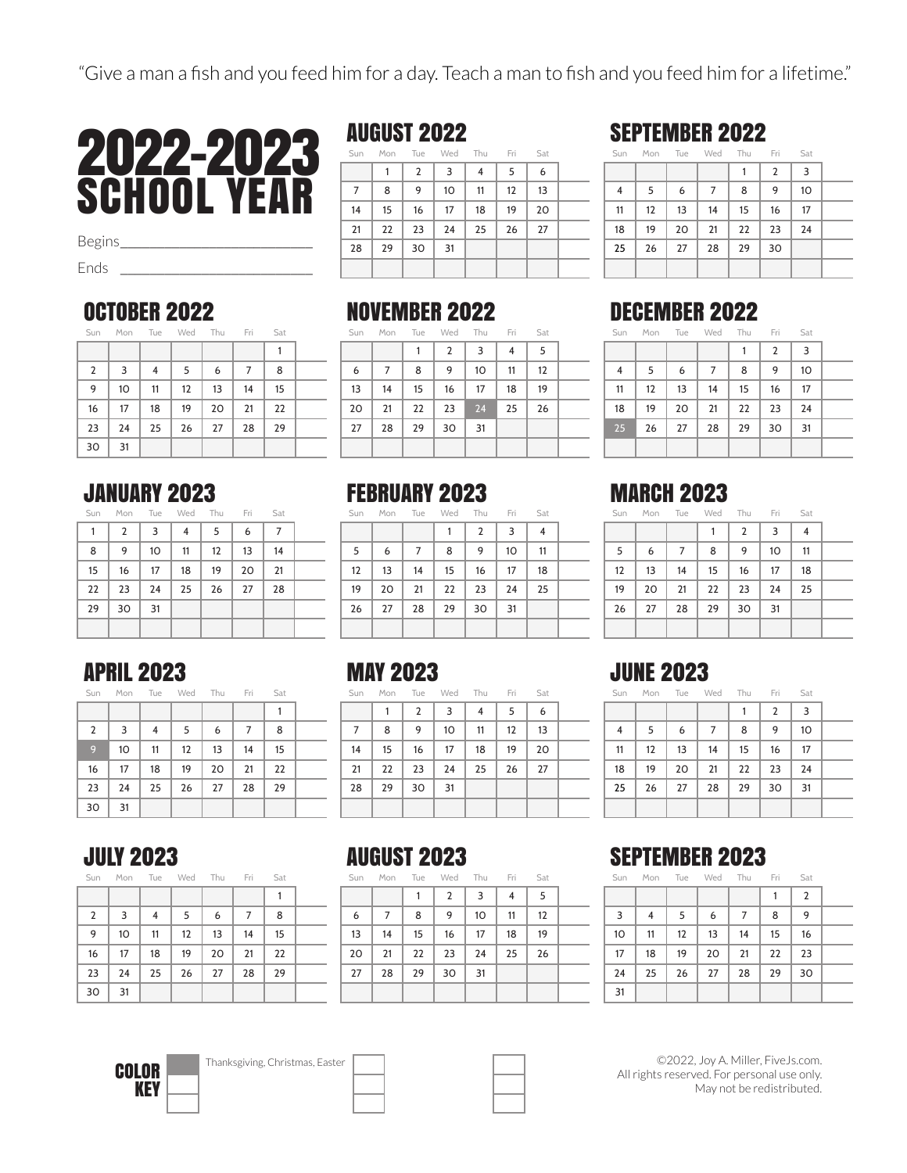

Begins*\_\_\_\_\_\_\_\_\_\_\_\_\_\_\_\_\_\_\_\_\_\_\_\_\_\_*

Ends *\_\_\_\_\_\_\_\_\_\_\_\_\_\_\_\_\_\_\_\_\_\_\_\_\_\_*

#### OCTOBER 2022

| Sun            | Mon Tue Wed Thu Fri |    |    |    |    | Sat |  |
|----------------|---------------------|----|----|----|----|-----|--|
|                |                     |    |    |    |    |     |  |
| $\overline{2}$ | 3                   | 4  | 5  | 6  | 7  | 8   |  |
| 9              | 10                  | 11 | 12 | 13 | 14 | 15  |  |
| 16             | 17                  | 18 | 19 | 20 | 21 | 22  |  |
| 23             | 24                  | 25 | 26 | 27 | 28 | 29  |  |
| 30             | 31                  |    |    |    |    |     |  |

#### JANUARY 2023

| Sat | Fri |    |                |    | Mon Tue Wed Thu | Sun |
|-----|-----|----|----------------|----|-----------------|-----|
| 7   | 6   | 5  | $\overline{4}$ | 3  | 2               | 1   |
| 14  | 13  | 12 | 11             | 10 | 9               | 8   |
| 21  | 20  | 19 | 18             | 17 | 16              | 15  |
| 28  | 27  | 26 | 25             | 24 | 23              | 22  |
|     |     |    |                | 31 | 30              | 29  |
|     |     |    |                |    |                 |     |

#### AUGUST 2022

| Sun |    |                | Mon Tue Wed Thu Fri |                |    | Sat |  |
|-----|----|----------------|---------------------|----------------|----|-----|--|
|     |    | $\overline{2}$ | 3                   | $\overline{4}$ | 5  | 6   |  |
| 7   | 8  | 9              | 10                  | 11             | 12 | 13  |  |
| 14  | 15 | 16             | 17                  | 18             | 19 | 20  |  |
| 21  | 22 | 23             | 24                  | 25             | 26 | 27  |  |
| 28  | 29 | 30             | 31                  |                |    |     |  |
|     |    |                |                     |                |    |     |  |

#### NOVEMBER 2022

|    |    |    | Sun Mon Tue Wed Thu Fri |    |                | Sat |  |
|----|----|----|-------------------------|----|----------------|-----|--|
|    |    |    | $\overline{2}$          | 3  | $\overline{4}$ | 5   |  |
| 6  | 7  | 8  | 9                       | 10 | 11             | 12  |  |
| 13 | 14 | 15 | 16                      | 17 | 18             | 19  |  |
| 20 | 21 | 22 | 23                      | 24 | 25             | 26  |  |
| 27 | 28 | 29 | 30                      | 31 |                |     |  |
|    |    |    |                         |    |                |     |  |

#### FEBRUARY 2023

| Sun | Mon | Tue          | Wed | hu     |        |       |  |
|-----|-----|--------------|-----|--------|--------|-------|--|
|     |     |              |     |        |        |       |  |
|     |     | $\mathbf{r}$ | - C | $\sim$ | $\sim$ | $-44$ |  |

| 5                 | 6                 | 7   8      |                        | 9   10     | $\vert$ 11                                |  |
|-------------------|-------------------|------------|------------------------|------------|-------------------------------------------|--|
| $12 \overline{ }$ | $\vert$ 13        | $\vert$ 14 | $15$ 16 17             |            | 18                                        |  |
| 19                |                   |            | 20   21   22   23   24 |            | $\begin{array}{c} \boxed{25} \end{array}$ |  |
| 26                | 27   28   29   30 |            |                        | $\vert$ 31 |                                           |  |
|                   |                   |            |                        |            |                                           |  |

## SEPTEMBER 2022

|    | Sun Mon Tue Wed Thu Fri |    |    |    |                | Sat |  |
|----|-------------------------|----|----|----|----------------|-----|--|
|    |                         |    |    |    | $\overline{2}$ | 3   |  |
| 4  | 5                       | 6  | 7  | 8  | 9              | 10  |  |
| 11 | 12                      | 13 | 14 | 15 | 16             | 17  |  |
| 18 | 19                      | 20 | 21 | 22 | 23             | 24  |  |
| 25 | 26                      | 27 | 28 | 29 | 30             |     |  |
|    |                         |    |    |    |                |     |  |

#### DECEMBER 2022

|    | Sun Mon Tue Wed Thu Fri Sat |    |    |    |                   |    |
|----|-----------------------------|----|----|----|-------------------|----|
| 3  | $\overline{2}$              |    |    |    |                   |    |
| 10 | 9                           | 8  | 7  | 6  | 5                 | 4  |
| 17 | 16                          | 15 | 14 | 13 | $12 \overline{ }$ | 11 |
| 24 | 23                          | 22 | 21 | 20 | 19                | 18 |
| 31 | 30                          | 29 | 28 | 27 | 26                | 25 |
|    |                             |    |    |    |                   |    |

### MARCH 2023

| Sun | Mon Tue Wed Thu |    |    |                | Fri | Sat            |  |
|-----|-----------------|----|----|----------------|-----|----------------|--|
|     |                 |    |    | $\overline{2}$ | 3   | $\overline{4}$ |  |
| 5   | 6               | 7  | 8  | 9              | 10  | 11             |  |
| 12  | 13              | 14 | 15 | 16             | 17  | 18             |  |
| 19  | 20              | 21 | 22 | 23             | 24  | 25             |  |
| 26  | 27              | 28 | 29 | 30             | 31  |                |  |
|     |                 |    |    |                |     |                |  |

## APRIL 2023

| Sat | Fri | Thu | Wed | Tue | Mon | Sun            |
|-----|-----|-----|-----|-----|-----|----------------|
|     |     |     |     |     |     |                |
| 8   | 7   | 6   | 5   | 4   | 3   | $\overline{2}$ |
| 15  | 14  | 13  | 12  | 11  | 10  | 9              |
| 22  | 21  | 20  | 19  | 18  | 17  | 16             |
| 29  | 28  | 27  | 26  | 25  | 24  | 23             |
|     |     |     |     |     | 31  | 30             |

#### MAY 2023

| Sun | Mon | Tue | Wed | Thu | Fri | Sat |  |
|-----|-----|-----|-----|-----|-----|-----|--|
|     |     | 2   | 3   | 4   | 5   | 6   |  |
| 7   | 8   | 9   | 10  | 11  | 12  | 13  |  |
| 14  | 15  | 16  | 17  | 18  | 19  | 20  |  |
| 21  | 22  | 23  | 24  | 25  | 26  | 27  |  |
| 28  | 29  | 30  | 31  |     |     |     |  |
|     |     |     |     |     |     |     |  |

#### JULY 2023

|  | Sun Mon Tue Wed Thu Fri Sat |  |  |
|--|-----------------------------|--|--|
|  |                             |  |  |

| 8  | 7  | 6  | 5  | 4  | 3  | $\overline{2}$ |
|----|----|----|----|----|----|----------------|
| 15 | 14 | 13 | 12 | 11 | 10 | 9              |
| 22 | 21 | 20 | 19 | 18 | 17 | 16             |
| 29 | 28 | 27 | 26 | 25 | 24 | 23             |
|    |    |    |    |    | 31 | 30             |

## AUGUST 2023

| Sun | Mon | Tue | Wed Thu        |    | Fri | Sat |  |
|-----|-----|-----|----------------|----|-----|-----|--|
|     |     |     | $\overline{2}$ | 3  | 4   | 5   |  |
| 6   | 7   | 8   | 9              | 10 | 11  | 12  |  |
| 13  | 14  | 15  | 16             | 17 | 18  | 19  |  |
| 20  | 21  | 22  | 23             | 24 | 25  | 26  |  |
| 27  | 28  | 29  | 30             | 31 |     |     |  |
|     |     |     |                |    |     |     |  |

## JUNE 2023

| Sun            | Mon | Tue | Wed | Thu | Fri            | Sat |  |
|----------------|-----|-----|-----|-----|----------------|-----|--|
|                |     |     |     |     | $\overline{2}$ | 3   |  |
| $\overline{4}$ | 5   | 6   | 7   | 8   | 9              | 10  |  |
| 11             | 12  | 13  | 14  | 15  | 16             | 17  |  |
| 18             | 19  | 20  | 21  | 22  | 23             | 24  |  |
| 25             | 26  | 27  | 28  | 29  | 30             | 31  |  |
|                |     |     |     |     |                |     |  |

#### SEPTEMBER 2023

Sun Mon Tue Wed Thu Fri Sat

|    |    |    |    |    |    | 2  |  |
|----|----|----|----|----|----|----|--|
| 3  | 4  | 5  | 6  | 7  | 8  | 9  |  |
| 10 | 11 | 12 | 13 | 14 | 15 | 16 |  |
| 17 | 18 | 19 | 20 | 21 | 22 | 23 |  |
| 24 | 25 | 26 | 27 | 28 | 29 | 30 |  |
| 31 |    |    |    |    |    |    |  |

©2022, Joy A. Miller, FiveJs.com. All rights reserved. For personal use only. May not be redistributed.



COLOR **Thanksgiving, Christmas, Easter**